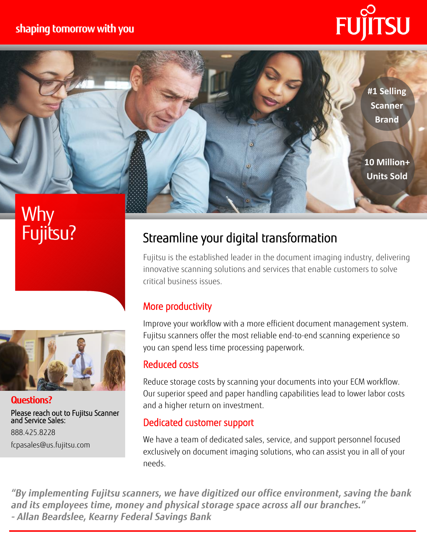### **shaping tomorrow with you**

**#1 Selling Scanner Brand**

**10 Million+ Units Sold**

# Why Fujitsu?



**Questions?** Please reach out to Fujitsu Scanner and Service Sales: 888.425.8228 fcpasales@us.fujitsu.com

## Streamline your digital transformation

Fujitsu is the established leader in the document imaging industry, delivering innovative scanning solutions and services that enable customers to solve critical business issues.

#### More productivity

Improve your workflow with a more efficient document management system. Fujitsu scanners offer the most reliable end-to-end scanning experience so you can spend less time processing paperwork.

#### Reduced costs

Reduce storage costs by scanning your documents into your ECM workflow. Our superior speed and paper handling capabilities lead to lower labor costs and a higher return on investment.

#### Dedicated customer support

We have a team of dedicated sales, service, and support personnel focused exclusively on document imaging solutions, who can assist you in all of your needs.

*"By implementing Fujitsu scanners, we have digitized our office environment, saving the bank and its employees time, money and physical storage space across all our branches." - Allan Beardslee, Kearny Federal Savings Bank*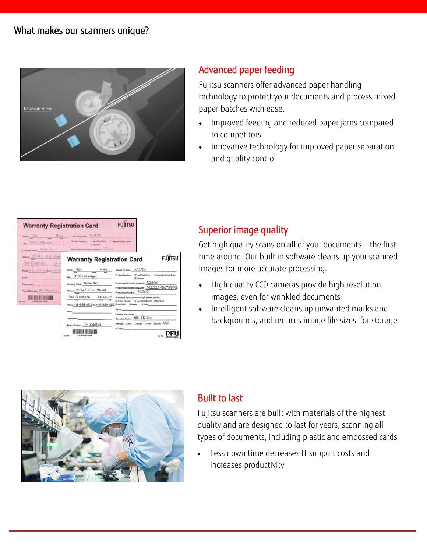

#### Advanced paper feeding

Fujitsu scanners offer advanced paper handling technology to protect your documents and process mixed paper batches with ease.

- Improved feeding and reduced paper jams compared to competitors
- Innovative technology for improved paper separation and quality control

| <b>Warranty Registration Card</b><br>News Jon Miwa<br>THE Office Manager<br>Company Name: Aitmit Art                                             | Data of Purchase 5/3/15<br>Product Category: [14 Mart Disk Drive       Magnets-Octoal Drive<br><b>N' Scientist</b><br>Product Model Number (required): 52.2.0 c                                                                                                                               | <b>FUJITSU</b>                                                                                                                                                                                                                                                                                                                                                                                                                                                                    |
|--------------------------------------------------------------------------------------------------------------------------------------------------|-----------------------------------------------------------------------------------------------------------------------------------------------------------------------------------------------------------------------------------------------------------------------------------------------|-----------------------------------------------------------------------------------------------------------------------------------------------------------------------------------------------------------------------------------------------------------------------------------------------------------------------------------------------------------------------------------------------------------------------------------------------------------------------------------|
| ANNIEL 12345 First Street<br>San Francisco CA 9<br>Phone 415-555-1010 Nat 415-5<br>Email:<br><b>Distantment</b><br>Type of Business Art Supplies | <b>Warranty Registration Card</b><br>Name: Jon Miwa<br>Time: Office Manager<br>Company Name: Acme Art<br>Address: 12345 First Street<br>San Francisco CA 94567<br>Phone: 415-555-1212 av. 415-555-1212<br>Fresh.<br>Department<br>Type of Business: Art Supplies<br>585109<br>123456789012948 | <b>FUITSU</b><br>Date of Parchase 3/3/13<br>Product Caledonic<br><b>JC</b> Sconner<br>Product Model Number (required): 52200<br>Product Secul Mureber (required): 522023456789JKL<br>Product Part Number 52202<br>Purchased Pujitsu product through (please specify):<br>D. System Integrator D. Value/Adriet Reserve D. Distributor<br>D Mell Order 36, Retailer Cl Other<br>Name:<br>Operating System. Win XD Pro<br>interface: DSCSI DVideo DVRS 3COher USB<br><b>PC Type:</b> |

#### Superior image quality

Get high quality scans on all of your documents — the first time around. Our built in software cleans up your scanned images for more accurate processing.

- High quality CCD cameras provide high resolution images, even for wrinkled documents
- Intelligent software cleans up unwanted marks and backgrounds, and reduces image file sizes for storage



#### Built to last

Fujitsu scanners are built with materials of the highest quality and are designed to last for years, scanning all types of documents, including plastic and embossed cards

 Less down time decreases IT support costs and increases productivity